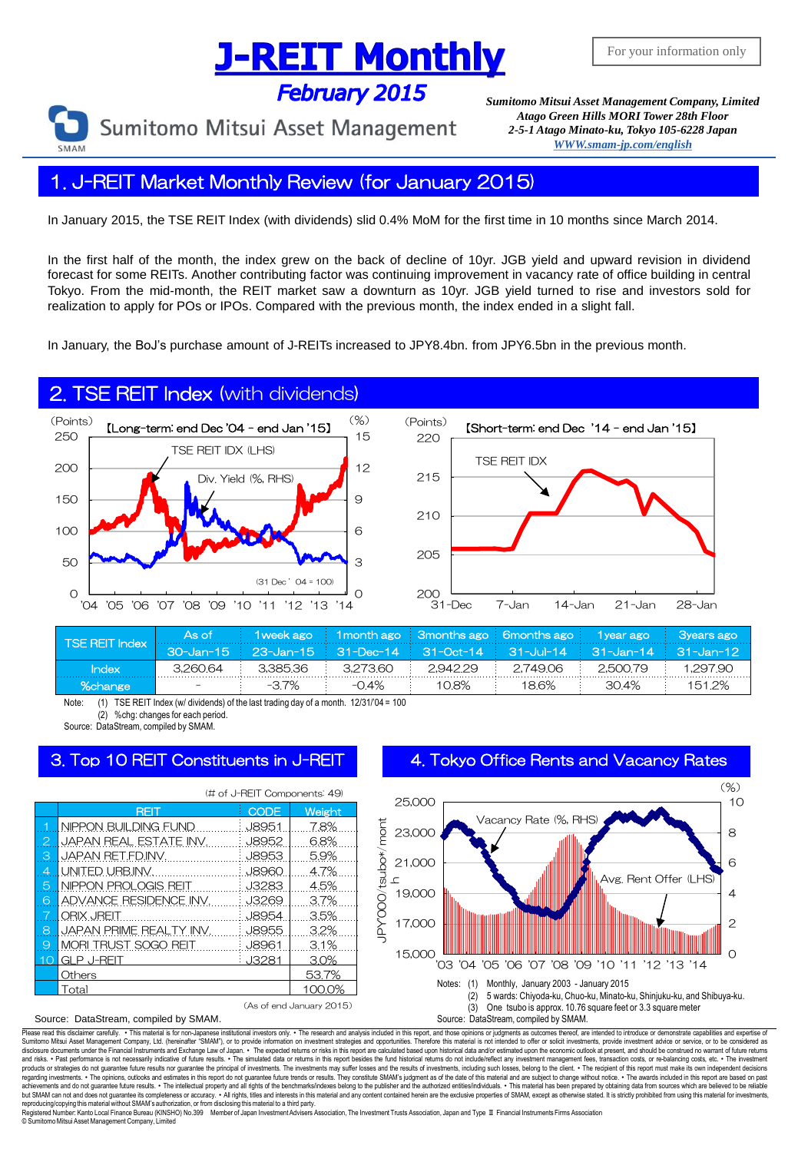# **J-REIT Monthly**

**February 2015** 

Sumitomo Mitsui Asset Management

*Sumitomo Mitsui Asset Management Company, Limited Atago Green Hills MORI Tower 28th Floor 2-5-1 Atago Minato-ku, Tokyo 105-6228 Japa[n](mailto:English@smam-jp.com) [WWW.smam-jp.com/english](http://www.smam-jp.com/english)*

### 1. J-REIT Market Monthly Review (for January 2015)

In January 2015, the TSE REIT Index (with dividends) slid 0.4% MoM for the first time in 10 months since March 2014.

In the first half of the month, the index grew on the back of decline of 10yr. JGB yield and upward revision in dividend forecast for some REITs. Another contributing factor was continuing improvement in vacancy rate of office building in central Tokyo. From the mid-month, the REIT market saw a downturn as 10yr. JGB yield turned to rise and investors sold for realization to apply for POs or IPOs. Compared with the previous month, the index ended in a slight fall.

In January, the BoJ's purchase amount of J-REITs increased to JPY8.4bn. from JPY6.5bn in the previous month.

### 2. TSE REIT Index (with dividends)





| <b>TSE REIT Index</b> | As of    |          |          |          | <u> 1 week ago 1 1 month ago 3 months ago 6 months ago 1 year ago 3 3 years ago 1</u> |          |          |
|-----------------------|----------|----------|----------|----------|---------------------------------------------------------------------------------------|----------|----------|
|                       |          |          |          |          | 30-Jan-15 23-Jan-15 31-Dec-14 31-Oct-14 31-Jul-14 31-Jan-14 31-Jan-12                 |          |          |
| <b>Index</b>          | 3.260.64 | 3.385.36 | 3.27360  | 2.942.29 | 2.74906                                                                               | 2,500.79 | 1.297.90 |
| %change               |          | $-37\%$  | $-0.4\%$ | 108%     | 18.6%                                                                                 | 304%     | 1512%    |

Note: (1) TSE REIT Index (w/ dividends) of the last trading day of a month.  $12/31/04 = 100$ <br>(2) %chg: changes for each period. %chg: changes for each period.

Source: DataStream, compiled by SMAM.

Source: DataStream, compiled by SMAM.

|                          | (# of J-REIT Components: 49) |              |        |  |  |  |
|--------------------------|------------------------------|--------------|--------|--|--|--|
|                          | <b>RÈII</b>                  | <b>CODE</b>  | Weight |  |  |  |
| 1                        | NIPPON BUILDING FUND         | <b>J8951</b> | 7.8%   |  |  |  |
| $\overline{2}$           | JAPAN REAL ESTATE INV.       | <b>J8952</b> | 6.8%   |  |  |  |
| 3                        | JAPAN RET.FD.INV.            | <b>J8953</b> | 5.9%   |  |  |  |
| 4                        | UNITED URB.INV.              | <b>J8960</b> | 4.7%   |  |  |  |
| 5                        | NIPPON PROLOGIS REIT         | J3283        | 4.5%   |  |  |  |
| 6                        | ADVANCE RESIDENCE INV.       | J3269        | 3.7%   |  |  |  |
|                          | <b>ORIX JREIT</b>            | <b>J8954</b> | 3.5%   |  |  |  |
| 8                        | JAPAN PRIME REALTY INV.      | <b>J8955</b> | 3.2%   |  |  |  |
| 9                        | <b>MORI TRUST SOGO REIT</b>  | <b>J8961</b> | 3.1%   |  |  |  |
| O                        | <b>GLP J-REIT</b>            | J3281        | 3.0%   |  |  |  |
|                          | Others                       |              | 53.7%  |  |  |  |
|                          | Total                        |              | 100.0% |  |  |  |
| (As of end January 2015) |                              |              |        |  |  |  |





#### r carefully. . This material is for non-Japanese institutional investors only. . The research and analysis included in this report, and those opinions or judgments as outcomes thereof, are intended to introduce or demonstr Sumitomo Mitsui Asset Management Company, Ltd. (hereinafter "SMAM"), or to provide information on investment strategies and opportunities. Therefore this material is not intended to offer or solicit investments, provide in disclosure documents under the Financial Instruments and Exchange Law of Japan. ∙ The expected relums or risk in this report are calculated based upon historical data and/or estimated upon the economic outlook at present, regarding investments. • The opinions, outlooks and estimates in this report do not guarantee future trends or results. They constitute SMAM's judgment as of the date of this material and are subject to change without noti reproducing/copying this material without SMAM's authorization, or from disclosing this material to a third party<br>Registered Number: Kanto Local Finance Bureau (KINSHO) No.399 Member of Japan Investment Advisers

JPY'000/tsubo\*/mont

sers Association, The Investment Trusts Association, Japan and Type Ⅱ Financial Instruments Firms Association © SumitomoMitsui Asset Management Company, Limited

#### 3. Top 10 REIT Constituents in J-REIT 4. Tokyo Office Rents and Vacancy Rates